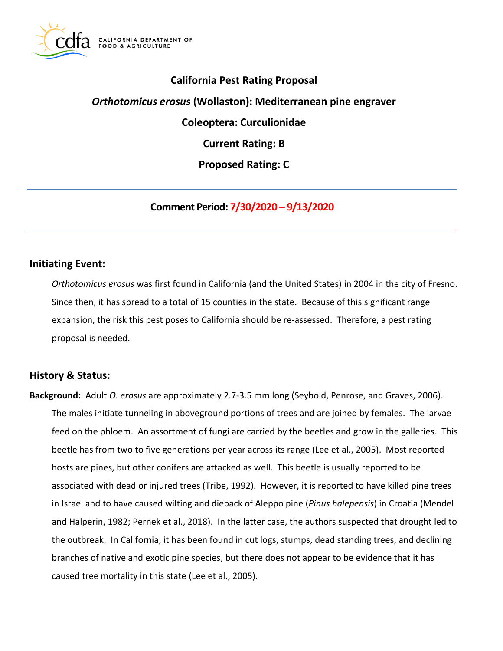

# **California Pest Rating Proposal**

# *Orthotomicus erosus* **(Wollaston): Mediterranean pine engraver**

**Coleoptera: Curculionidae** 

**Current Rating: B** 

**Proposed Rating: C** 

**Comment Period: 7/30/2020 – 9/13/2020**

### **Initiating Event:**

 *Orthotomicus erosus* was first found in California (and the United States) in 2004 in the city of Fresno. Since then, it has spread to a total of 15 counties in the state. Because of this significant range expansion, the risk this pest poses to California should be re-assessed. Therefore, a pest rating proposal is needed.

# **History & Status:**

 **Background:** Adult *O. erosus* are approximately 2.7-3.5 mm long (Seybold, Penrose, and Graves, 2006). The males initiate tunneling in aboveground portions of trees and are joined by females. The larvae feed on the phloem. An assortment of fungi are carried by the beetles and grow in the galleries. This beetle has from two to five generations per year across its range (Lee et al., 2005). Most reported hosts are pines, but other conifers are attacked as well. This beetle is usually reported to be associated with dead or injured trees (Tribe, 1992). However, it is reported to have killed pine trees in Israel and to have caused wilting and dieback of Aleppo pine (*Pinus halepensis*) in Croatia (Mendel and Halperin, 1982; Pernek et al., 2018). In the latter case, the authors suspected that drought led to the outbreak. In California, it has been found in cut logs, stumps, dead standing trees, and declining branches of native and exotic pine species, but there does not appear to be evidence that it has caused tree mortality in this state (Lee et al., 2005).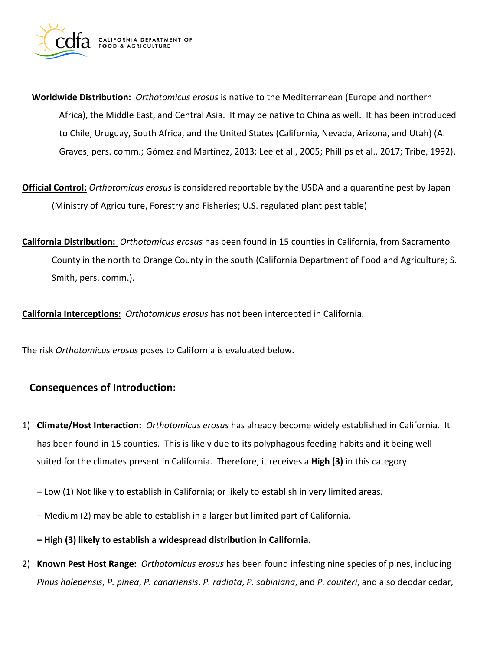

- **Worldwide Distribution:** *Orthotomicus erosus* is native to the Mediterranean (Europe and northern Africa), the Middle East, and Central Asia. It may be native to China as well. It has been introduced to Chile, Uruguay, South Africa, and the United States (California, Nevada, Arizona, and Utah) (A. Graves, pers. comm.; Gómez and Martínez, 2013; Lee et al., 2005; Phillips et al., 2017; Tribe, 1992).
- **Official Control:** *Orthotomicus erosus* is considered reportable by the USDA and a quarantine pest by Japan (Ministry of Agriculture, Forestry and Fisheries; U.S. regulated plant pest table)
- **California Distribution:** *Orthotomicus erosus* has been found in 15 counties in California, from Sacramento County in the north to Orange County in the south (California Department of Food and Agriculture; S. Smith, pers. comm.).

**California Interceptions:** *Orthotomicus erosus* has not been intercepted in California.

The risk *Orthotomicus erosus* poses to California is evaluated below.

# **Consequences of Introduction:**

- 1) **Climate/Host Interaction:** *Orthotomicus erosus* has already become widely established in California. It has been found in 15 counties. This is likely due to its polyphagous feeding habits and it being well suited for the climates present in California. Therefore, it receives a **High (3)** in this category.
	- Low (1) Not likely to establish in California; or likely to establish in very limited areas.
	- Medium (2) may be able to establish in a larger but limited part of California.
	- **– High (3) likely to establish a widespread distribution in California.**
- 2) **Known Pest Host Range:** *Orthotomicus erosus* has been found infesting nine species of pines, including *Pinus halepensis*, *P. pinea*, *P. canariensis*, *P. radiata*, *P. sabiniana*, and *P. coulteri*, and also deodar cedar,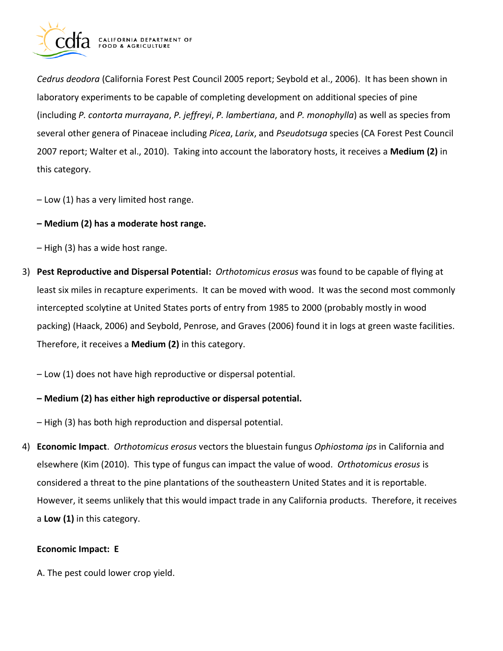

 *Cedrus deodora* (California Forest Pest Council 2005 report; Seybold et al., 2006). It has been shown in laboratory experiments to be capable of completing development on additional species of pine (including *P. contorta murrayana*, *P. jeffreyi*, *P. lambertiana*, and *P. monophylla*) as well as species from several other genera of Pinaceae including *Picea*, *Larix*, and *Pseudotsuga* species (CA Forest Pest Council 2007 report; Walter et al., 2010). Taking into account the laboratory hosts, it receives a **Medium (2)** in this category.

– Low (1) has a very limited host range.

### **– Medium (2) has a moderate host range.**

– High (3) has a wide host range.

 3) **Pest Reproductive and Dispersal Potential:** *Orthotomicus erosus* was found to be capable of flying at least six miles in recapture experiments. It can be moved with wood. It was the second most commonly intercepted scolytine at United States ports of entry from 1985 to 2000 (probably mostly in wood packing) (Haack, 2006) and Seybold, Penrose, and Graves (2006) found it in logs at green waste facilities. Therefore, it receives a **Medium (2)** in this category.

– Low (1) does not have high reproductive or dispersal potential.

### **– Medium (2) has either high reproductive or dispersal potential.**

– High (3) has both high reproduction and dispersal potential.

 4) **Economic Impact**. *Orthotomicus erosus* vectors the bluestain fungus *Ophiostoma ips* in California and elsewhere (Kim (2010). This type of fungus can impact the value of wood. *Orthotomicus erosus* is considered a threat to the pine plantations of the southeastern United States and it is reportable. However, it seems unlikely that this would impact trade in any California products. Therefore, it receives a **Low (1)** in this category.

#### **Economic Impact: E**

A. The pest could lower crop yield.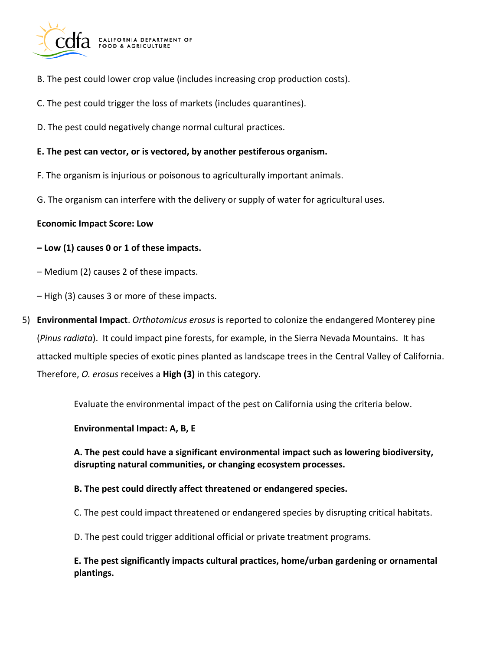

- B. The pest could lower crop value (includes increasing crop production costs).
- C. The pest could trigger the loss of markets (includes quarantines).
- D. The pest could negatively change normal cultural practices.

#### **E. The pest can vector, or is vectored, by another pestiferous organism.**

- F. The organism is injurious or poisonous to agriculturally important animals.
- G. The organism can interfere with the delivery or supply of water for agricultural uses.

### **Economic Impact Score: Low**

### **– Low (1) causes 0 or 1 of these impacts.**

- Medium (2) causes 2 of these impacts.
- High (3) causes 3 or more of these impacts.
- 5) **Environmental Impact**. *Orthotomicus erosus* is reported to colonize the endangered Monterey pine (*Pinus radiata*). It could impact pine forests, for example, in the Sierra Nevada Mountains. It has attacked multiple species of exotic pines planted as landscape trees in the Central Valley of California. Therefore, *O. erosus* receives a **High (3)** in this category.

Evaluate the environmental impact of the pest on California using the criteria below.

#### **Environmental Impact: A, B, E**

 **A. The pest could have a significant environmental impact such as lowering biodiversity, disrupting natural communities, or changing ecosystem processes.** 

#### **B. The pest could directly affect threatened or endangered species.**

- C. The pest could impact threatened or endangered species by disrupting critical habitats.
- D. The pest could trigger additional official or private treatment programs.

 **E. The pest significantly impacts cultural practices, home/urban gardening or ornamental plantings.**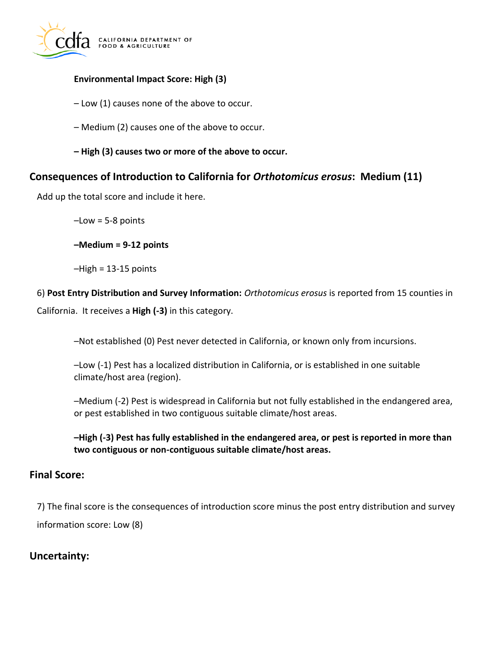

### **Environmental Impact Score: High (3)**

- Low (1) causes none of the above to occur.
- Medium (2) causes one of the above to occur.
- **– High (3) causes two or more of the above to occur.**

# **Consequences of Introduction to California for** *Orthotomicus erosus***: Medium (11)**

Add up the total score and include it here.

 $-Low = 5-8$  points

**–Medium = 9-12 points** 

–High = 13-15 points

 6) **Post Entry Distribution and Survey Information:** *Orthotomicus erosus* is reported from 15 counties in

California. It receives a **High (-3)** in this category.

–Not established (0) Pest never detected in California, or known only from incursions.

 –Low (-1) Pest has a localized distribution in California, or is established in one suitable climate/host area (region).

 –Medium (-2) Pest is widespread in California but not fully established in the endangered area, or pest established in two contiguous suitable climate/host areas.

 **–High (-3) Pest has fully established in the endangered area, or pest is reported in more than two contiguous or non-contiguous suitable climate/host areas.** 

### **Final Score:**

 7) The final score is the consequences of introduction score minus the post entry distribution and survey information score: Low (8)

# **Uncertainty:**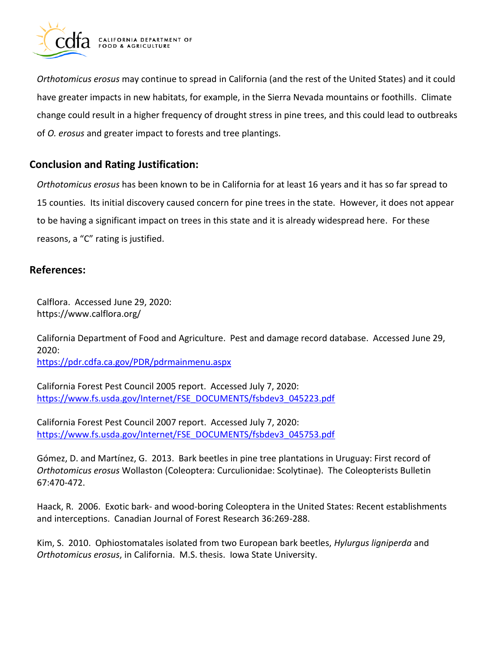

 *Orthotomicus erosus* may continue to spread in California (and the rest of the United States) and it could have greater impacts in new habitats, for example, in the Sierra Nevada mountains or foothills. Climate change could result in a higher frequency of drought stress in pine trees, and this could lead to outbreaks of *O. erosus* and greater impact to forests and tree plantings.

# **Conclusion and Rating Justification:**

 *Orthotomicus erosus* has been known to be in California for at least 16 years and it has so far spread to 15 counties. Its initial discovery caused concern for pine trees in the state. However, it does not appear to be having a significant impact on trees in this state and it is already widespread here. For these reasons, a "C" rating is justified.

# **References:**

 Calflora. Accessed June 29, 2020: [https://www.calflora.org/](https://www.calflora.org)

 California Department of Food and Agriculture. Pest and damage record database. Accessed June 29, 2020: <https://pdr.cdfa.ca.gov/PDR/pdrmainmenu.aspx>

 California Forest Pest Council 2005 report. Accessed July 7, 2020: [https://www.fs.usda.gov/Internet/FSE\\_DOCUMENTS/fsbdev3\\_045223.pdf](https://www.fs.usda.gov/Internet/FSE_DOCUMENTS/fsbdev3_045223.pdf) 

 California Forest Pest Council 2007 report. Accessed July 7, 2020: [https://www.fs.usda.gov/Internet/FSE\\_DOCUMENTS/fsbdev3\\_045753.pdf](https://www.fs.usda.gov/Internet/FSE_DOCUMENTS/fsbdev3_045753.pdf) 

 Gómez, D. and Martínez, G. 2013. Bark beetles in pine tree plantations in Uruguay: First record of *Orthotomicus erosus* Wollaston (Coleoptera: Curculionidae: Scolytinae). The Coleopterists Bulletin 67:470-472.

 Haack, R. 2006. Exotic bark- and wood-boring Coleoptera in the United States: Recent establishments and interceptions. Canadian Journal of Forest Research 36:269-288.

 Kim, S. 2010. Ophiostomatales isolated from two European bark beetles, *Hylurgus ligniperda* and *Orthotomicus erosus*, in California. M.S. thesis. Iowa State University.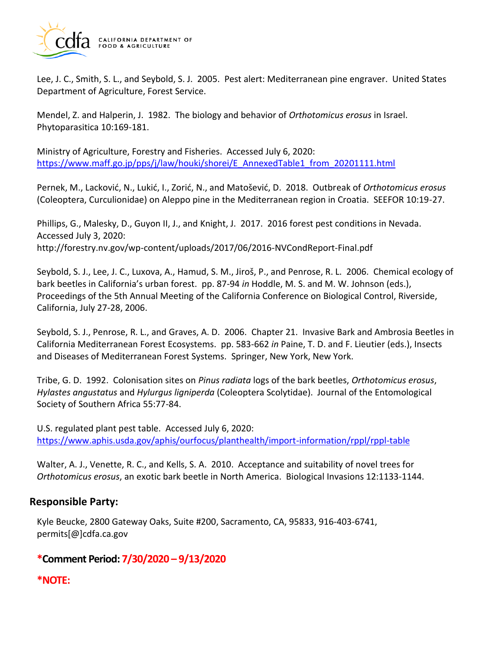

 Lee, J. C., Smith, S. L., and Seybold, S. J. 2005. Pest alert: Mediterranean pine engraver. United States Department of Agriculture, Forest Service.

 Mendel, Z. and Halperin, J. 1982. The biology and behavior of *Orthotomicus erosus* in Israel. Phytoparasitica 10:169-181.

 Ministry of Agriculture, Forestry and Fisheries. Accessed July 6, 2020: [https://www.maff.go.jp/pps/j/law/houki/shorei/E\\_AnnexedTable1\\_from\\_20201111.html](https://www.maff.go.jp/pps/j/law/houki/shorei/E_AnnexedTable1_from_20201111.html) 

 Pernek, M., Lacković, N., Lukić, I., Zorić, N., and Matošević, D. 2018. Outbreak of *Orthotomicus erosus*  (Coleoptera, Curculionidae) on Aleppo pine in the Mediterranean region in Croatia. SEEFOR 10:19-27.

 Phillips, G., Malesky, D., Guyon II, J., and Knight, J. 2017. 2016 forest pest conditions in Nevada. Accessed July 3, 2020: <http://forestry.nv.gov/wp-content/uploads/2017/06/2016-NVCondReport-Final.pdf>

 Seybold, S. J., Lee, J. C., Luxova, A., Hamud, S. M., Jiroš, P., and Penrose, R. L. 2006. Chemical ecology of bark beetles in California's urban forest. pp. 87-94 *in* Hoddle, M. S. and M. W. Johnson (eds.), Proceedings of the 5th Annual Meeting of the California Conference on Biological Control, Riverside, California, July 27-28, 2006.

 Seybold, S. J., Penrose, R. L., and Graves, A. D. 2006. Chapter 21. Invasive Bark and Ambrosia Beetles in California Mediterranean Forest Ecosystems. pp. 583-662 *in* Paine, T. D. and F. Lieutier (eds.), Insects and Diseases of Mediterranean Forest Systems. Springer, New York, New York.

 Tribe, G. D. 1992. Colonisation sites on *Pinus radiata* logs of the bark beetles, *Orthotomicus erosus*, *Hylastes angustatus* and *Hylurgus ligniperda* (Coleoptera Scolytidae). Journal of the Entomological Society of Southern Africa 55:77-84.

 U.S. regulated plant pest table. Accessed July 6, 2020: <https://www.aphis.usda.gov/aphis/ourfocus/planthealth/import-information/rppl/rppl-table>

 Walter, A. J., Venette, R. C., and Kells, S. A. 2010. Acceptance and suitability of novel trees for *Orthotomicus erosus*, an exotic bark beetle in North America. Biological Invasions 12:1133-1144.

# **Responsible Party:**

Kyle Beucke, 2800 Gateway Oaks, Suite #200, Sacramento, CA, 95833, 916-403-6741, [permits\[@\]cdfa.ca.gov](https://permits[@]cdfa.ca.gov) 

# **\*Comment Period: 7/30/2020 – 9/13/2020**

# **\*NOTE:**